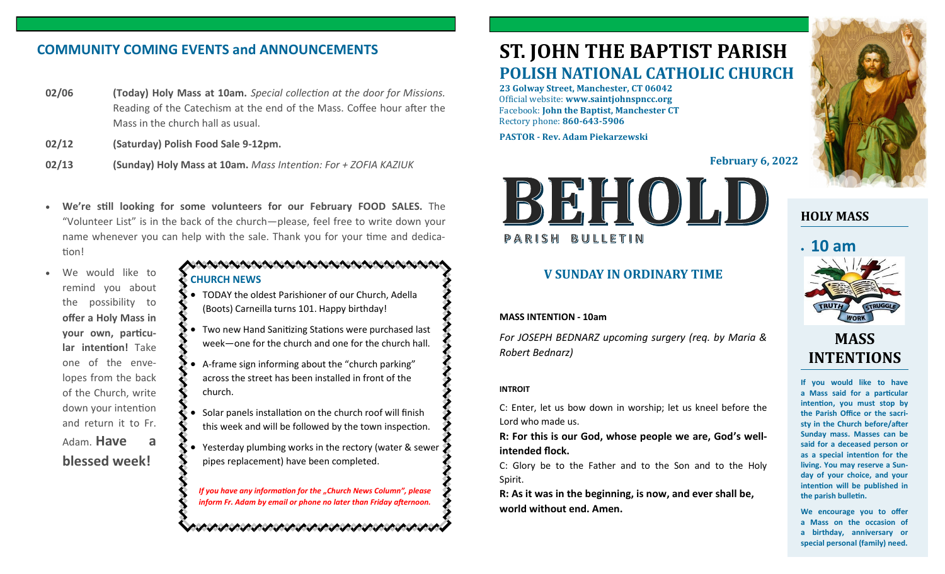## **COMMUNITY COMING EVENTS and ANNOUNCEMENTS**

- **02/06 (Today) Holy Mass at 10am.** *Special collection at the door for Missions.* Reading of the Catechism at the end of the Mass. Coffee hour after the Mass in the church hall as usual.
- **02/12 (Saturday) Polish Food Sale 9-12pm.**
- **02/13 (Sunday) Holy Mass at 10am.** *Mass Intention: For + ZOFIA KAZIUK*
- **We're still looking for some volunteers for our February FOOD SALES.** The "Volunteer List" is in the back of the church—please, feel free to write down your name whenever you can help with the sale. Thank you for your time and dedication!
- We would like to remind you about the possibility to **offer a Holy Mass in your own, particular intention!** Take one of the envelopes from the back of the Church, write down your intention and return it to Fr. Adam. **Have a**

**blessed week!**

#### AAAAAAAAAAAAAAAAAAAAA **CHURCH NEWS**

- TODAY the oldest Parishioner of our Church, Adella (Boots) Carneilla turns 101. Happy birthday!
- Two new Hand Sanitizing Stations were purchased last week—one for the church and one for the church hall.
- A-frame sign informing about the "church parking" across the street has been installed in front of the church.
- Solar panels installation on the church roof will finish this week and will be followed by the town inspection.
- Yesterday plumbing works in the rectory (water & sewer pipes replacement) have been completed.

*If you have any information for the "Church News Column", please inform Fr. Adam by email or phone no later than Friday afternoon.*

いんへいけいけいけいけいけいけいけいけいけい

# **ST. JOHN THE BAPTIST PARISH POLISH NATIONAL CATHOLIC CHURCH**

**23 Golway Street, Manchester, CT 06042** Official website: **www.saintjohnspncc.org** Facebook: **John the Baptist, Manchester CT** Rectory phone: **860-643-5906** 

**PASTOR - Rev. Adam Piekarzewski**

**February 6, 2022**



#### **V SUNDAY IN ORDINARY TIME**

#### **MASS INTENTION - 10am**

*For JOSEPH BEDNARZ upcoming surgery (req. by Maria & Robert Bednarz)*

#### **INTROIT**

C: Enter, let us bow down in worship; let us kneel before the Lord who made us.

**R: For this is our God, whose people we are, God's wellintended flock.**

C: Glory be to the Father and to the Son and to the Holy Spirit.

**R: As it was in the beginning, is now, and ever shall be, world without end. Amen.**



## **HOLY MASS**

# • **10 am**



## **MASS INTENTIONS**

**If you would like to have a Mass said for a particular intention, you must stop by the Parish Office or the sacristy in the Church before/after Sunday mass. Masses can be said for a deceased person or as a special intention for the living. You may reserve a Sunday of your choice, and your intention will be published in the parish bulletin.**

**We encourage you to offer a Mass on the occasion of a birthday, anniversary or special personal (family) need.**